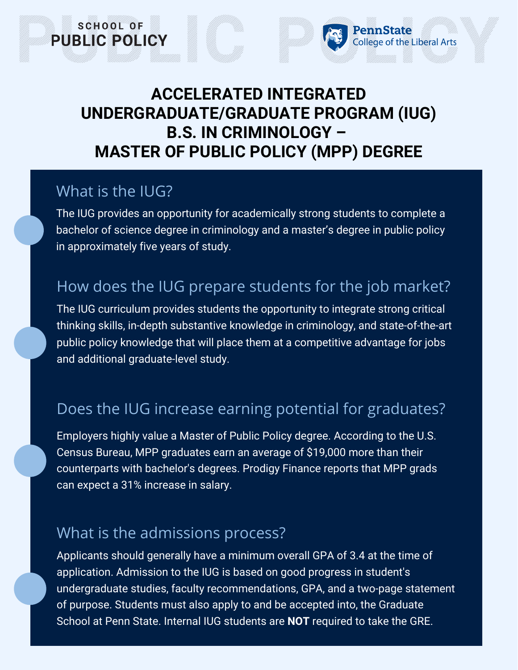# **ACCELERATED INTEGRATED UNDERGRADUATE/GRADUATE PROGRAM (IUG) B.S. IN CRIMINOLOGY – MASTER OF PUBLIC POLICY (MPP) DEGREE**

PennState

College of the Liberal Arts

## What is the IUG?

SCHOOL OF

PUBLIC POLICY

The IUG provides an opportunity for academically strong students to complete a bachelor of science degree in criminology and a master's degree in public policy in approximately five years of study.

### How does the IUG prepare students for the job market?

The IUG curriculum provides students the opportunity to integrate strong critical thinking skills, in-depth substantive knowledge in criminology, and state-of-the-art public policy knowledge that will place them at a competitive advantage for jobs and additional graduate-level study.

## Does the IUG increase earning potential for graduates?

Employers highly value a Master of Public Policy degree. According to the U.S. Census Bureau, MPP graduates earn an average of \$19,000 more than their counterparts with bachelor's degrees. Prodigy Finance reports that MPP grads can expect a 31% increase in salary.

#### What is the admissions process?

Applicants should generally have a minimum overall GPA of 3.4 at the time of application. Admission to the IUG is based on good progress in student's undergraduate studies, faculty recommendations, GPA, and a two-page statement of purpose. Students must also apply to and be accepted into, the Graduate School at Penn State. Internal IUG students are **NOT** required to take the GRE.